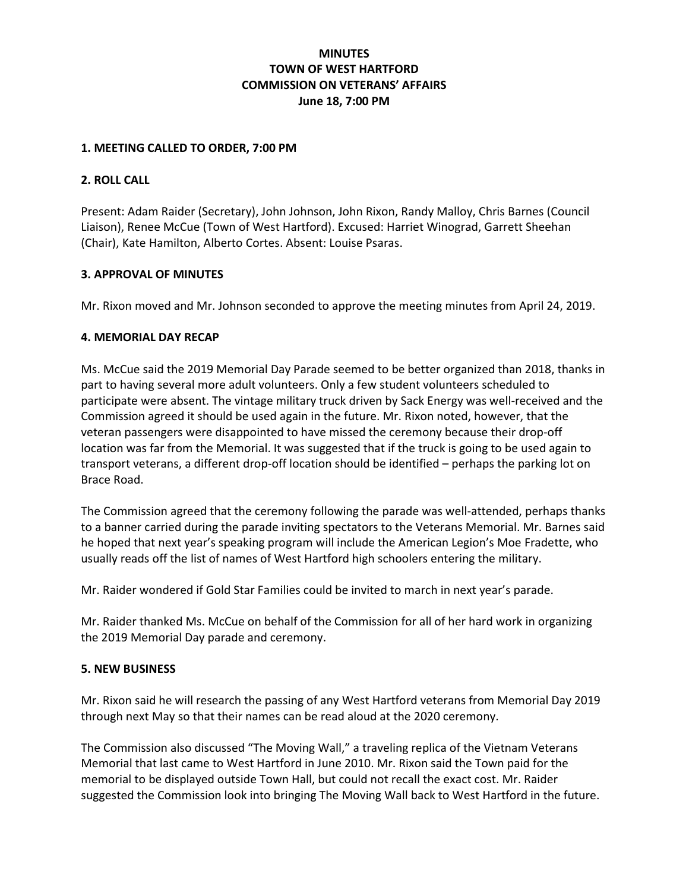# MINUTES TOWN OF WEST HARTFORD COMMISSION ON VETERANS' AFFAIRS June 18, 7:00 PM

#### 1. MEETING CALLED TO ORDER, 7:00 PM

### 2. ROLL CALL

Present: Adam Raider (Secretary), John Johnson, John Rixon, Randy Malloy, Chris Barnes (Council Liaison), Renee McCue (Town of West Hartford). Excused: Harriet Winograd, Garrett Sheehan (Chair), Kate Hamilton, Alberto Cortes. Absent: Louise Psaras.

### 3. APPROVAL OF MINUTES

Mr. Rixon moved and Mr. Johnson seconded to approve the meeting minutes from April 24, 2019.

### 4. MEMORIAL DAY RECAP

Ms. McCue said the 2019 Memorial Day Parade seemed to be better organized than 2018, thanks in part to having several more adult volunteers. Only a few student volunteers scheduled to participate were absent. The vintage military truck driven by Sack Energy was well-received and the Commission agreed it should be used again in the future. Mr. Rixon noted, however, that the veteran passengers were disappointed to have missed the ceremony because their drop-off location was far from the Memorial. It was suggested that if the truck is going to be used again to transport veterans, a different drop-off location should be identified – perhaps the parking lot on Brace Road.

The Commission agreed that the ceremony following the parade was well-attended, perhaps thanks to a banner carried during the parade inviting spectators to the Veterans Memorial. Mr. Barnes said he hoped that next year's speaking program will include the American Legion's Moe Fradette, who usually reads off the list of names of West Hartford high schoolers entering the military.

Mr. Raider wondered if Gold Star Families could be invited to march in next year's parade.

Mr. Raider thanked Ms. McCue on behalf of the Commission for all of her hard work in organizing the 2019 Memorial Day parade and ceremony.

#### 5. NEW BUSINESS

Mr. Rixon said he will research the passing of any West Hartford veterans from Memorial Day 2019 through next May so that their names can be read aloud at the 2020 ceremony.

The Commission also discussed "The Moving Wall," a traveling replica of the Vietnam Veterans Memorial that last came to West Hartford in June 2010. Mr. Rixon said the Town paid for the memorial to be displayed outside Town Hall, but could not recall the exact cost. Mr. Raider suggested the Commission look into bringing The Moving Wall back to West Hartford in the future.